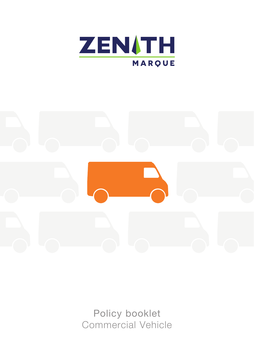



Policy booklet Commercial Vehicle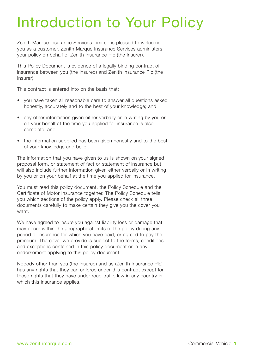# Introduction to Your Policy

Zenith Marque Insurance Services Limited is pleased to welcome you as a customer. Zenith Marque Insurance Services administers your policy on behalf of Zenith Insurance Plc (the Insurer).

This Policy Document is evidence of a legally binding contract of insurance between you (the Insured) and Zenith insurance Plc (the Insurer).

This contract is entered into on the basis that:

- you have taken all reasonable care to answer all questions asked honestly, accurately and to the best of your knowledge; and
- any other information given either verbally or in writing by you or on your behalf at the time you applied for insurance is also complete; and
- the information supplied has been given honestly and to the best of your knowledge and belief.

The information that you have given to us is shown on your signed proposal form, or statement of fact or statement of insurance but will also include further information given either verbally or in writing by you or on your behalf at the time you applied for insurance.

You must read this policy document, the Policy Schedule and the Certificate of Motor Insurance together. The Policy Schedule tells you which sections of the policy apply. Please check all three documents carefully to make certain they give you the cover you want.

We have agreed to insure you against liability loss or damage that may occur within the geographical limits of the policy during any period of insurance for which you have paid, or agreed to pay the premium. The cover we provide is subject to the terms, conditions and exceptions contained in this policy document or in any endorsement applying to this policy document.

Nobody other than you (the Insured) and us (Zenith Insurance Plc) has any rights that they can enforce under this contract except for those rights that they have under road traffic law in any country in which this insurance applies.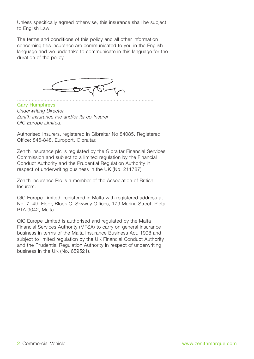Unless specifically agreed otherwise, this insurance shall be subject to English Law.

The terms and conditions of this policy and all other information concerning this insurance are communicated to you in the English language and we undertake to communicate in this language for the duration of the policy.



Gary Humphreys *Underwriting Director Zenith Insurance Plc and/or its co-Insurer QIC Europe Limited.*

Authorised Insurers, registered in Gibraltar No 84085. Registered Office: 846-848, Europort, Gibraltar.

Zenith Insurance plc is regulated by the Gibraltar Financial Services Commission and subject to a limited regulation by the Financial Conduct Authority and the Prudential Regulation Authority in respect of underwriting business in the UK (No. 211787).

Zenith Insurance Plc is a member of the Association of British Insurers.

QIC Europe Limited, registered in Malta with registered address at No. 7, 4th Floor, Block C, Skyway Offices, 179 Marina Street, Pieta, PTA 9042, Malta.

QIC Europe Limited is authorised and regulated by the Malta Financial Services Authority (MFSA) to carry on general insurance business in terms of the Malta Insurance Business Act, 1998 and subject to limited regulation by the UK Financial Conduct Authority and the Prudential Regulation Authority in respect of underwriting business in the UK (No. 659521).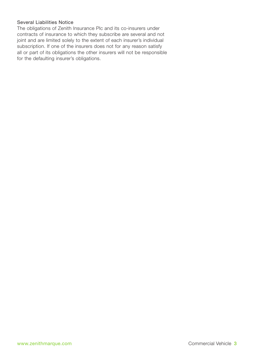### Several Liabilities Notice

The obligations of Zenith Insurance Plc and its co-insurers under contracts of insurance to which they subscribe are several and not joint and are limited solely to the extent of each insurer's individual subscription. If one of the insurers does not for any reason satisfy all or part of its obligations the other insurers will not be responsible for the defaulting insurer's obligations.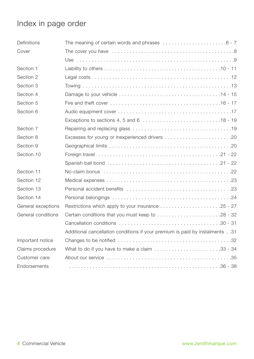## Index in page order

| Definitions        |                                                                                                    |
|--------------------|----------------------------------------------------------------------------------------------------|
| Cover              |                                                                                                    |
|                    |                                                                                                    |
| Section 1          |                                                                                                    |
| Section 2          |                                                                                                    |
| Section 3          |                                                                                                    |
| Section 4          |                                                                                                    |
| Section 5          |                                                                                                    |
| Section 6          |                                                                                                    |
|                    |                                                                                                    |
| Section 7          |                                                                                                    |
| Section 8          |                                                                                                    |
| Section 9          |                                                                                                    |
| Section 10         |                                                                                                    |
|                    |                                                                                                    |
| Section 11         |                                                                                                    |
| Section 12         |                                                                                                    |
| Section 13         |                                                                                                    |
| Section 14         |                                                                                                    |
| General exceptions | Restrictions which apply to your insurance 25 - 27                                                 |
| General conditions | Certain conditions that you must keep to 28 - 32                                                   |
|                    |                                                                                                    |
|                    | Additional cancellation conditions if your premium is paid by instalments31                        |
| Important notice   |                                                                                                    |
| Claims procedure   | What to do if you have to make a claim $\ldots \ldots \ldots \ldots \ldots \ldots \ldots$ .33 - 34 |
| Customer care      |                                                                                                    |
| Endorsements       |                                                                                                    |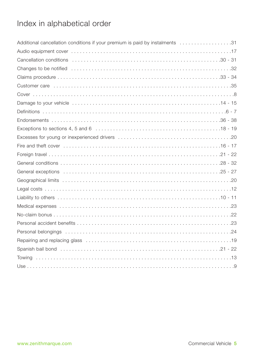## Index in alphabetical order

| Additional cancellation conditions if your premium is paid by instalments 31                                                                                                                                                  |
|-------------------------------------------------------------------------------------------------------------------------------------------------------------------------------------------------------------------------------|
|                                                                                                                                                                                                                               |
|                                                                                                                                                                                                                               |
|                                                                                                                                                                                                                               |
|                                                                                                                                                                                                                               |
|                                                                                                                                                                                                                               |
|                                                                                                                                                                                                                               |
|                                                                                                                                                                                                                               |
|                                                                                                                                                                                                                               |
|                                                                                                                                                                                                                               |
|                                                                                                                                                                                                                               |
|                                                                                                                                                                                                                               |
|                                                                                                                                                                                                                               |
| Foreign travel $\dots\dots\dots\dots\dots\dots\dots\dots\dots\dots\dots\dots\dots\dots\dots\dots\dots$                                                                                                                        |
|                                                                                                                                                                                                                               |
|                                                                                                                                                                                                                               |
|                                                                                                                                                                                                                               |
|                                                                                                                                                                                                                               |
|                                                                                                                                                                                                                               |
|                                                                                                                                                                                                                               |
|                                                                                                                                                                                                                               |
|                                                                                                                                                                                                                               |
| Personal belongings (and accommodation of the contract of the contract of the contract of the contract of the contract of the contract of the contract of the contract of the contract of the contract of the contract of the |
|                                                                                                                                                                                                                               |
|                                                                                                                                                                                                                               |
|                                                                                                                                                                                                                               |
|                                                                                                                                                                                                                               |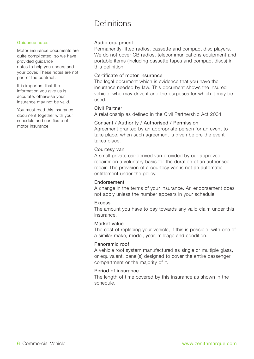### Definitions

#### Guidance notes

Motor insurance documents are quite complicated, so we have provided guidance notes to help you understand your cover. These notes are not part of the contract.

It is important that the information you give us is accurate, otherwise your insurance may not be valid.

You must read this insurance document together with your schedule and certificate of motor insurance.

#### Audio equipment

Permanently-fitted radios, cassette and compact disc players. We do not cover CB radios, telecommunications equipment and portable items (including cassette tapes and compact discs) in this definition.

#### Certificate of motor insurance

The legal document which is evidence that you have the insurance needed by law. This document shows the insured vehicle, who may drive it and the purposes for which it may be used.

#### Civil Partner

A relationship as defined in the Civil Partnership Act 2004.

#### Consent / Authority / Authorised / Permission

Agreement granted by an appropriate person for an event to take place, when such agreement is given before the event takes place.

#### Courtesy van

A small private car-derived van provided by our approved repairer on a voluntary basis for the duration of an authorised repair. The provision of a courtesy van is not an automatic entitlement under the policy.

#### Endorsement

A change in the terms of your insurance. An endorsement does not apply unless the number appears in your schedule.

#### Excess

The amount you have to pay towards any valid claim under this insurance.

#### Market value

The cost of replacing your vehicle, if this is possible, with one of a similar make, model, year, mileage and condition.

#### Panoramic roof

A vehicle roof system manufactured as single or multiple glass, or equivalent, panel(s) designed to cover the entire passenger compartment or the majority of it.

#### Period of insurance

The length of time covered by this insurance as shown in the schedule.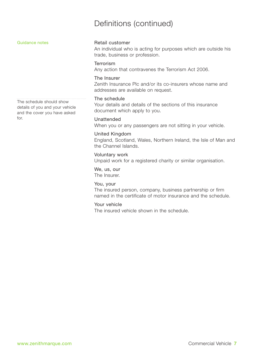### Definitions (continued)

#### Retail customer

An individual who is acting for purposes which are outside his trade, business or profession.

#### Terrorism

Any action that contravenes the Terrorism Act 2006.

#### The Insurer

Zenith Insurance Plc and/or its co-insurers whose name and addresses are available on request.

#### The schedule

Your details and details of the sections of this insurance document which apply to you.

#### Unattended

When you or any passengers are not sitting in your vehicle.

#### United Kingdom

England, Scotland, Wales, Northern Ireland, the Isle of Man and the Channel Islands.

#### Voluntary work

Unpaid work for a registered charity or similar organisation.

#### We, us, our

The Insurer.

#### You, your

The insured person, company, business partnership or firm named in the certificate of motor insurance and the schedule.

### Your vehicle

The insured vehicle shown in the schedule.

The schedule should show details of you and your vehicle and the cover you have asked for.

Guidance notes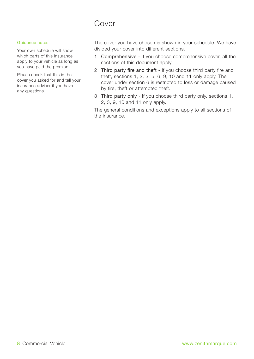### Cover

#### Guidance notes

Your own schedule will show which parts of this insurance apply to your vehicle as long as you have paid the premium.

Please check that this is the cover you asked for and tell your insurance adviser if you have any questions.

The cover you have chosen is shown in your schedule. We have divided your cover into different sections.

- 1 Comprehensive If you choose comprehensive cover, all the sections of this document apply.
- 2 Third party fire and theft If you choose third party fire and theft, sections 1, 2, 3, 5, 6, 9, 10 and 11 only apply. The cover under section 6 is restricted to loss or damage caused by fire, theft or attempted theft.
- 3 Third party only If you choose third party only, sections 1, 2, 3, 9, 10 and 11 only apply.

The general conditions and exceptions apply to all sections of the insurance.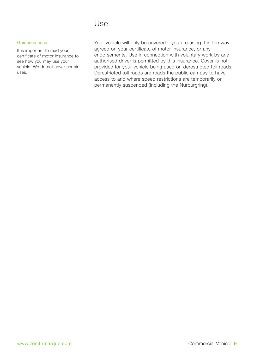### Use

#### Guidance notes

It is important to read your certificate of motor insurance to see how you may use your vehicle. We do not cover certain uses.

Your vehicle will only be covered if you are using it in the way agreed on your certificate of motor insurance, or any endorsements. Use in connection with voluntary work by any authorised driver is permitted by this insurance. Cover is not provided for your vehicle being used on derestricted toll roads. Derestricted toll roads are roads the public can pay to have access to and where speed restrictions are temporarily or permanently suspended (including the Nurburgring).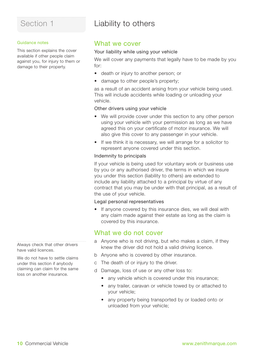## Liability to others

#### Guidance notes

This section explains the cover available if other people claim against you, for injury to them or damage to their property.

### What we cover

#### Your liability while using your vehicle

We will cover any payments that legally have to be made by you for:

- death or injury to another person; or
- damage to other people's property:

as a result of an accident arising from your vehicle being used. This will include accidents while loading or unloading your vehicle.

#### Other drivers using your vehicle

- We will provide cover under this section to any other person using your vehicle with your permission as long as we have agreed this on your certificate of motor insurance. We will also give this cover to any passenger in your vehicle.
- If we think it is necessary, we will arrange for a solicitor to represent anyone covered under this section.

#### Indemnity to principals

If your vehicle is being used for voluntary work or business use by you or any authorised driver, the terms in which we insure you under this section (liability to others) are extended to include any liability attached to a principal by virtue of any contract that you may be under with that principal, as a result of the use of your vehicle.

#### Legal personal representatives

• If anyone covered by this insurance dies, we will deal with any claim made against their estate as long as the claim is covered by this insurance.

### What we do not cover

- a Anyone who is not driving, but who makes a claim, if they knew the driver did not hold a valid driving licence.
- b Anyone who is covered by other insurance.
- c The death of or injury to the driver.
- d Damage, loss of use or any other loss to:
	- any vehicle which is covered under this insurance:
	- any trailer, caravan or vehicle towed by or attached to your vehicle;
	- any property being transported by or loaded onto or unloaded from your vehicle;

Always check that other drivers have valid licences.

We do not have to settle claims under this section if anybody claiming can claim for the same loss on another insurance.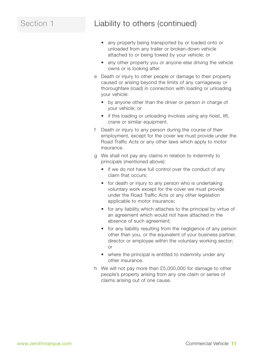### Section 1 Liability to others (continued)

- any property being transported by or loaded onto or unloaded from any trailer or broken-down vehicle attached to or being towed by your vehicle; or
- any other property you or anyone else driving the vehicle owns or is looking after.
- e Death or injury to other people or damage to their property caused or arising beyond the limits of any carriageway or thoroughfare (road) in connection with loading or unloading your vehicle:
	- by anyone other than the driver or person in charge of your vehicle; or
	- if this loading or unloading involves using any hoist, lift, crane or similar equipment.
- f Death or injury to any person during the course of their employment, except for the cover we must provide under the Road Traffic Acts or any other laws which apply to motor insurance.
- g We shall not pay any claims in relation to indemnity to principals (mentioned above):
	- if we do not have full control over the conduct of any claim that occurs;
	- for death or injury to any person who is undertaking voluntary work except for the cover we must provide under the Road Traffic Acts or any other legislation applicable to motor insurance;
	- for any liability which attaches to the principal by virtue of an agreement which would not have attached in the absence of such agreement;
	- for any liability resulting from the negligence of any person other than you, or the equivalent of your business partner, director or employee within the voluntary working sector; or
	- where the principal is entitled to indemnity under any other insurance.
- h We will not pay more than £5,000,000 for damage to other people's property arising from any one claim or series of claims arising out of one cause.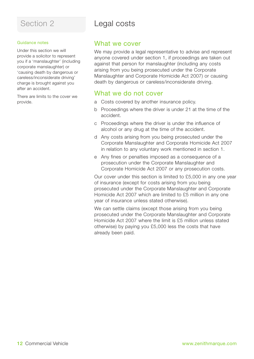### Guidance notes

Under this section we will provide a solicitor to represent you if a 'manslaughter' (including corporate manslaughter) or 'causing death by dangerous or careless/inconsiderate driving' charge is brought against you after an accident.

There are limits to the cover we provide.

### Section 2 Legal costs

### What we cover

We may provide a legal representative to advise and represent anyone covered under section 1, if proceedings are taken out against that person for manslaughter (including any costs arising from you being prosecuted under the Corporate Manslaughter and Corporate Homicide Act 2007) or causing death by dangerous or careless/inconsiderate driving.

### What we do not cover

- a Costs covered by another insurance policy.
- b Proceedings where the driver is under 21 at the time of the accident.
- c Proceedings where the driver is under the influence of alcohol or any drug at the time of the accident.
- d Any costs arising from you being prosecuted under the Corporate Manslaughter and Corporate Homicide Act 2007 in relation to any voluntary work mentioned in section 1.
- e Any fines or penalties imposed as a consequence of a prosecution under the Corporate Manslaughter and Corporate Homicide Act 2007 or any prosecution costs.

Our cover under this section is limited to £5,000 in any one year of insurance (except for costs arising from you being prosecuted under the Corporate Manslaughter and Corporate Homicide Act 2007 which are limited to £5 million in any one year of insurance unless stated otherwise).

We can settle claims (except those arising from you being prosecuted under the Corporate Manslaughter and Corporate Homicide Act 2007 where the limit is £5 million unless stated otherwise) by paying you £5,000 less the costs that have already been paid.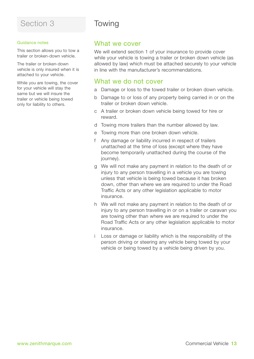#### Guidance notes

This section allows you to tow a trailer or broken-down vehicle.

The trailer or broken-down vehicle is only insured when it is attached to your vehicle.

While you are towing, the cover for your vehicle will stay the same but we will insure the trailer or vehicle being towed only for liability to others.

## Towing

### What we cover

We will extend section 1 of your insurance to provide cover while your vehicle is towing a trailer or broken down vehicle (as allowed by law) which must be attached securely to your vehicle in line with the manufacturer's recommendations.

### What we do not cover

- a Damage or loss to the towed trailer or broken down vehicle.
- b Damage to or loss of any property being carried in or on the trailer or broken down vehicle.
- c A trailer or broken down vehicle being towed for hire or reward.
- d Towing more trailers than the number allowed by law.
- e Towing more than one broken down vehicle.
- f Any damage or liability incurred in respect of trailers unattached at the time of loss (except where they have become temporarily unattached during the course of the iourney).
- g We will not make any payment in relation to the death of or injury to any person travelling in a vehicle you are towing unless that vehicle is being towed because it has broken down, other than where we are required to under the Road Traffic Acts or any other legislation applicable to motor insurance.
- h We will not make any payment in relation to the death of or injury to any person travelling in or on a trailer or caravan you are towing other than where we are required to under the Road Traffic Acts or any other legislation applicable to motor insurance.
- Loss or damage or liability which is the responsibility of the person driving or steering any vehicle being towed by your vehicle or being towed by a vehicle being driven by you.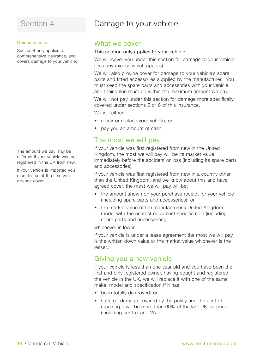### Damage to your vehicle

#### Guidance notes

Section 4 only applies to comprehensive insurance, and covers damage to your vehicle.

The amount we pay may be different if your vehicle was not registered in the UK from new.

If your vehicle is imported you must tell us at the time you arrange cover.

### What we cover

#### This section only applies to your vehicle.

We will cover you under this section for damage to your vehicle (less any excess which applies).

We will also provide cover for damage to your vehicle's spare parts and fitted accessories supplied by the manufacturer. You must keep the spare parts and accessories with your vehicle and their value must be within the maximum amount we pay.

We will not pay under this section for damage more specifically covered under sections 5 or 6 of this insurance.

We will either:

- repair or replace your vehicle; or
- pay you an amount of cash.

### The most we will pay

If your vehicle was first registered from new in the United Kingdom, the most we will pay will be its market value immediately before the accident or loss (including its spare parts and accessories).

If your vehicle was first registered from new in a country other than the United Kingdom, and we know about this and have agreed cover, the most we will pay will be:

- the amount shown on your purchase receipt for your vehicle (including spare parts and accessories); or
- the market value of the manufacturer's United Kingdom model with the nearest equivalent specification (including spare parts and accessories);

whichever is lower.

If your vehicle is under a lease agreement the most we will pay is the written down value or the market value whichever is the lesser.

### Giving you a new vehicle

If your vehicle is less than one year old and you have been the first and only registered owner, having bought and registered the vehicle in the UK, we will replace it with one of the same make, model and specification if it has:

- been totally destroyed; or
- suffered damage covered by the policy and the cost of repairing it will be more than 60% of the last UK list price (including car tax and VAT).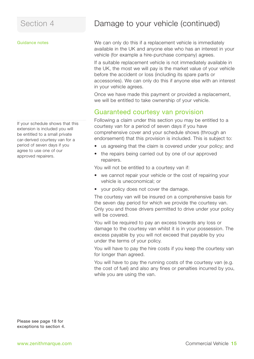#### Guidance notes

If your schedule shows that this extension is included you will be entitled to a small private car-derived courtesy van for a period of seven days if you agree to use one of our approved repairers.

### Damage to your vehicle (continued)

We can only do this if a replacement vehicle is immediately available in the UK and anyone else who has an interest in your vehicle (for example a hire-purchase company) agrees.

If a suitable replacement vehicle is not immediately available in the UK, the most we will pay is the market value of your vehicle before the accident or loss (including its spare parts or accessories). We can only do this if anyone else with an interest in your vehicle agrees.

Once we have made this payment or provided a replacement, we will be entitled to take ownership of your vehicle.

### Guaranteed courtesy van provision

Following a claim under this section you may be entitled to a courtesy van for a period of seven days if you have comprehensive cover and your schedule shows (through an endorsement) that this provision is included. This is subject to:

- us agreeing that the claim is covered under your policy; and
- the repairs being carried out by one of our approved repairers.

You will not be entitled to a courtesy van if:

- we cannot repair your vehicle or the cost of repairing your vehicle is uneconomical; or
- your policy does not cover the damage.

The courtesy van will be insured on a comprehensive basis for the seven day period for which we provide the courtesy van. Only you and those drivers permitted to drive under your policy will be covered.

You will be required to pay an excess towards any loss or damage to the courtesy van whilst it is in your possession. The excess payable by you will not exceed that payable by you under the terms of your policy.

You will have to pay the hire costs if you keep the courtesy van for longer than agreed.

You will have to pay the running costs of the courtesy van (e.g. the cost of fuel) and also any fines or penalties incurred by you, while you are using the van.

Please see page 18 for exceptions to section 4.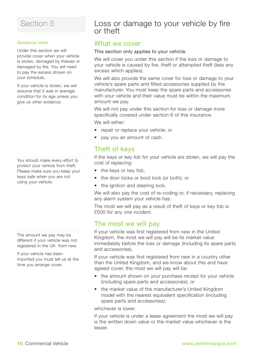#### Guidance notes

Under this section we will provide cover when your vehicle is stolen, damaged by thieves or damaged by fire. You will need to pay the excess shown on your schedule.

If your vehicle is stolen, we will assume that it was in average condition for its age unless you give us other evidence.

You should make every effort to protect your vehicle from theft. Please make sure you keep your keys safe when you are not using your vehicle.

The amount we pay may be different if your vehicle was not registered in the UK from new.

If your vehicle has been imported you must tell us at the time you arrange cover.

### Loss or damage to your vehicle by fire or theft

### What we cover

#### This section only applies to your vehicle.

We will cover you under this section if the loss or damage to your vehicle is caused by fire, theft or attempted theft (less any excess which applies).

We will also provide the same cover for loss or damage to your vehicle's spare parts and fitted accessories supplied by the manufacturer. You must keep the spare parts and accessories with your vehicle and their value must be within the maximum amount we pay.

We will not pay under this section for loss or damage more specifically covered under section 6 of this insurance.

We will either:

- repair or replace your vehicle; or
- pay you an amount of cash.

### Theft of keys

If the keys or key fob for your vehicle are stolen, we will pay the cost of replacing:

- the keys or key fob;
- the door locks or boot lock (or both); or
- the ignition and steering lock.

We will also pay the cost of re-coding or, if necessary, replacing any alarm system your vehicle has.

The most we will pay as a result of theft of keys or key fob is £500 for any one incident.

### The most we will pay

If your vehicle was first registered from new in the United Kingdom, the most we will pay will be its market value immediately before the loss or damage (including its spare parts and accessories).

If your vehicle was first registered from new in a country other than the United Kingdom, and we know about this and have agreed cover, the most we will pay will be:

- the amount shown on your purchase receipt for your vehicle (including spare parts and accessories); or
- the market value of the manufacturer's United Kingdom model with the nearest equivalent specification (including spare parts and accessories);

whichever is lower.

If your vehicle is under a lease agreement the most we will pay is the written down value or the market value whichever is the lesser.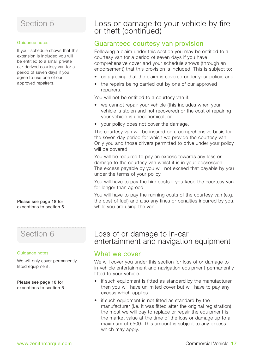#### Guidance notes

If your schedule shows that this extension is included you will be entitled to a small private car-derived courtesy van for a period of seven days if you agree to use one of our approved repairers.

Please see page 18 for exceptions to section 5.

### Section 6

#### Guidance notes

We will only cover permanently fitted equipment.

Please see page 18 for exceptions to section 6.

### Loss or damage to your vehicle by fire or theft (continued)

### Guaranteed courtesy van provision

Following a claim under this section you may be entitled to a courtesy van for a period of seven days if you have comprehensive cover and your schedule shows (through an endorsement) that this provision is included. This is subject to:

- us agreeing that the claim is covered under your policy; and
- the repairs being carried out by one of our approved repairers.

You will not be entitled to a courtesy van if:

- we cannot repair your vehicle (this includes when your vehicle is stolen and not recovered) or the cost of repairing your vehicle is uneconomical; or
- your policy does not cover the damage.

The courtesy van will be insured on a comprehensive basis for the seven day period for which we provide the courtesy van. Only you and those drivers permitted to drive under your policy will be covered.

You will be required to pay an excess towards any loss or damage to the courtesy van whilst it is in your possession. The excess payable by you will not exceed that payable by you under the terms of your policy.

You will have to pay the hire costs if you keep the courtesy van for longer than agreed.

You will have to pay the running costs of the courtesy van (e.g. the cost of fuel) and also any fines or penalties incurred by you, while you are using the van.

### Loss of or damage to in-car entertainment and navigation equipment

### What we cover

We will cover you under this section for loss of or damage to in-vehicle entertainment and navigation equipment permanently fitted to your vehicle.

- if such equipment is fitted as standard by the manufacturer then you will have unlimited cover but will have to pay any excess which applies.
- if such equipment is not fitted as standard by the manufacturer (i.e. it was fitted after the original registration) the most we will pay to replace or repair the equipment is the market value at the time of the loss or damage up to a maximum of £500. This amount is subject to any excess which may apply.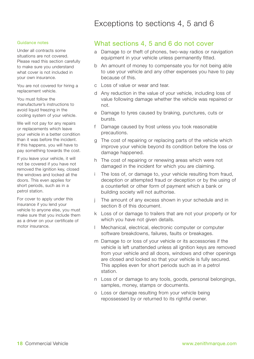### Exceptions to sections 4, 5 and 6

#### Guidance notes

Under all contracts some situations are not covered. Please read this section carefully to make sure you understand what cover is not included in your own insurance.

You are not covered for hiring a replacement vehicle.

You must follow the manufacturer's instructions to avoid liquid freezing in the cooling system of your vehicle.

We will not pay for any repairs or replacements which leave your vehicle in a better condition than it was before the incident. If this happens, you will have to pay something towards the cost.

If you leave your vehicle, it will not be covered if you have not removed the ignition key, closed the windows and locked all the doors. This even applies for short periods, such as in a petrol station.

For cover to apply under this insurance if you lend your vehicle to anyone else, you must make sure that you include them as a driver on your certificate of motor insurance.

### What sections 4, 5 and 6 do not cover

- a Damage to or theft of phones, two-way radios or navigation equipment in your vehicle unless permanently fitted.
- b An amount of money to compensate you for not being able to use your vehicle and any other expenses you have to pay because of this.
- c Loss of value or wear and tear.
- d Any reduction in the value of your vehicle, including loss of value following damage whether the vehicle was repaired or not.
- e Damage to tyres caused by braking, punctures, cuts or bursts.
- f Damage caused by frost unless you took reasonable precautions.
- g The cost of repairing or replacing parts of the vehicle which improve your vehicle beyond its condition before the loss or damage happened.
- h The cost of repairing or renewing areas which were not damaged in the incident for which you are claiming.
- The loss of, or damage to, your vehicle resulting from fraud, deception or attempted fraud or deception or by the using of a counterfeit or other form of payment which a bank or building society will not authorise.
- The amount of any excess shown in your schedule and in section 8 of this document.
- k Loss of or damage to trailers that are not your property or for which you have not given details.
- Mechanical, electrical, electronic computer or computer software breakdowns, failures, faults or breakages.
- m Damage to or loss of your vehicle or its accessories if the vehicle is left unattended unless all ignition keys are removed from your vehicle and all doors, windows and other openings are closed and locked so that your vehicle is fully secured. This applies even for short periods such as in a petrol station.
- n Loss of or damage to any tools, goods, personal belongings, samples, money, stamps or documents.
- o Loss or damage resulting from your vehicle being repossessed by or returned to its rightful owner.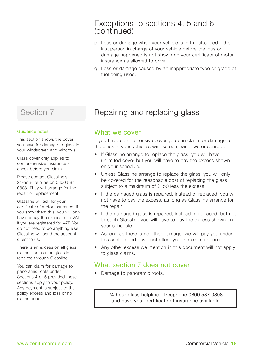### Exceptions to sections 4, 5 and 6 (continued)

- p Loss or damage when your vehicle is left unattended if the last person in charge of your vehicle before the loss or damage happened is not shown on your certificate of motor insurance as allowed to drive.
- q Loss or damage caused by an inappropriate type or grade of fuel being used.

### Section 7

#### Guidance notes

This section shows the cover you have for damage to glass in your windscreen and windows.

Glass cover only applies to comprehensive insurance check before you claim.

Please contact Glassline's 24-hour helpline on 0800 587 0808. They will arrange for the repair or replacement.

Glassline will ask for your certificate of motor insurance. If you show them this, you will only have to pay the excess, and VAT if you are registered for VAT. You do not need to do anything else. Glassline will send the account direct to us.

There is an excess on all glass claims - unless the glass is repaired through Glassline.

You can claim for damage to panoramic roofs under Sections 4 or 5 provided these sections apply to your policy. Any payment is subject to the policy excess and loss of no claims bonus.

### Repairing and replacing glass

### What we cover

If you have comprehensive cover you can claim for damage to the glass in your vehicle's windscreen, windows or sunroof.

- If Glassline arrange to replace the glass, you will have unlimited cover but you will have to pay the excess shown on your schedule.
- Unless Glassline arrange to replace the glass, you will only be covered for the reasonable cost of replacing the glass subject to a maximum of £150 less the excess.
- If the damaged glass is repaired, instead of replaced, you will not have to pay the excess, as long as Glassline arrange for the repair.
- If the damaged glass is repaired, instead of replaced, but not through Glassline you will have to pay the excess shown on your schedule.
- As long as there is no other damage, we will pay you under this section and it will not affect your no-claims bonus.
- Any other excess we mention in this document will not apply to glass claims.

### What section 7 does not cover

• Damage to panoramic roofs.

24-hour glass helpline - freephone 0800 587 0808 and have your certificate of insurance available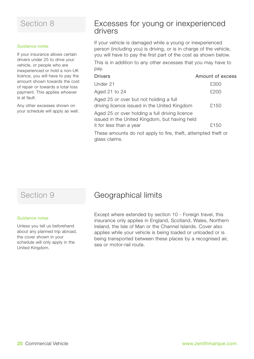#### Guidance notes

If your insurance allows certain drivers under 25 to drive your vehicle, or people who are inexperienced or hold a non-UK licence, you will have to pay the amount shown towards the cost of repair or towards a total loss payment. This applies whoever is at fault.

Any other excesses shown on your schedule will apply as well.

### Excesses for young or inexperienced drivers

If your vehicle is damaged while a young or inexperienced person (including you) is driving, or is in charge of the vehicle, you will have to pay the first part of the cost as shown below.

This is in addition to any other excesses that you may have to pay.

| <b>Drivers</b>                                                                                  | Amount of excess |
|-------------------------------------------------------------------------------------------------|------------------|
| Under 21                                                                                        | £300             |
| Aged 21 to 24                                                                                   | £200             |
| Aged 25 or over but not holding a full<br>driving licence issued in the United Kingdom          | £150             |
| Aged 25 or over holding a full driving licence<br>issued in the United Kingdom, but having held |                  |
| it for less than a year                                                                         | £150             |
|                                                                                                 |                  |

These amounts do not apply to fire, theft, attempted theft or glass claims.

#### Guidance notes

Unless you tell us beforehand about any planned trip abroad, the cover shown in your schedule will only apply in the United Kingdom.

### Section 9 **Geographical limits**

Except where extended by section 10 - Foreign travel, this insurance only applies in England, Scotland, Wales, Northern Ireland, the Isle of Man or the Channel Islands. Cover also applies while your vehicle is being loaded or unloaded or is being transported between these places by a recognised air, sea or motor-rail route.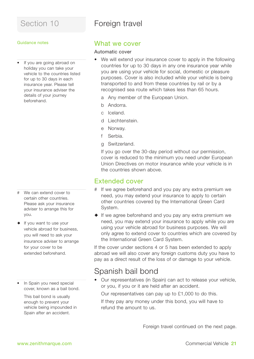### Foreign travel

#### Guidance notes

• If you are going abroad on holiday you can take your vehicle to the countries listed for up to 30 days in each insurance year. Please tell your insurance adviser the details of your journey beforehand.

- # We can extend cover to certain other countries. Please ask your insurance adviser to arrange this for you.
- $\bullet$  If you want to use your vehicle abroad for business, you will need to ask your insurance adviser to arrange for your cover to be extended beforehand.
- In Spain you need special cover, known as a bail bond.

This bail bond is usually enough to prevent your vehicle being impounded in Spain after an accident.

### What we cover

#### Automatic cover

- We will extend your insurance cover to apply in the following countries for up to 30 days in any one insurance year while you are using your vehicle for social, domestic or pleasure purposes. Cover is also included while your vehicle is being transported to and from these countries by rail or by a recognised sea route which takes less than 65 hours.
	- a Any member of the European Union.
	- b Andorra.
	- c Iceland.
	- d Liechtenstein.
	- e Norway.
	- f Serbia.
	- g Switzerland.

If you go over the 30-day period without our permission, cover is reduced to the minimum you need under European Union Directives on motor insurance while your vehicle is in the countries shown above.

### Extended cover

- # If we agree beforehand and you pay any extra premium we need, you may extend your insurance to apply to certain other countries covered by the International Green Card System.
- $\bullet$  If we agree beforehand and you pay any extra premium we need, you may extend your insurance to apply while you are using your vehicle abroad for business purposes. We will only agree to extend cover to countries which are covered by the International Green Card System.

If the cover under sections 4 or 5 has been extended to apply abroad we will also cover any foreign customs duty you have to pay as a direct result of the loss of or damage to your vehicle.

### Spanish bail bond

• Our representatives (in Spain) can act to release your vehicle, or you, if you or it are held after an accident.

Our representatives can pay up to £1,000 to do this.

If they pay any money under this bond, you will have to refund the amount to us.

Foreign travel continued on the next page.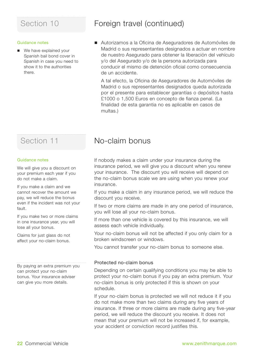#### Guidance notes

■ We have explained your Spanish bail bond cover in Spanish in case you need to show it to the authorities there.

### Section 10 **Foreign travel (continued)**

■ Autorizamos a la Oficina de Aseguradores de Automóviles de Madrid o sus representantes designados a actuar en nombre de nuestro Asegurado para obtener la liberación del vehículo y/o del Asegurado y/o de la persona autorizada para conducir el mismo de detención oficial como consecuencia de un accidente.

A tal efecto, la Oficina de Aseguradores de Automóviles de Madrid o sus representantes designados queda autorizada por el presente para establecer garantías o depósitos hasta £1000 o 1,500 Euros en concepto de fianza penal. (La finalidad de esta garantia no es aplicable en casos de multas.)

### Section 11

#### Guidance notes

We will give you a discount on your premium each year if you do not make a claim.

If you make a claim and we cannot recover the amount we pay, we will reduce the bonus even if the incident was not your fault.

If you make two or more claims in one insurance year, you will lose all your bonus.

Claims for just glass do not affect your no-claim bonus.

By paying an extra premium you can protect your no-claim bonus. Your insurance adviser can give you more details.

### No-claim bonus

If nobody makes a claim under your insurance during the insurance period, we will give you a discount when you renew your insurance. The discount you will receive will depend on the no-claim bonus scale we are using when you renew your insurance.

If you make a claim in any insurance period, we will reduce the discount you receive.

If two or more claims are made in any one period of insurance, you will lose all your no-claim bonus.

If more than one vehicle is covered by this insurance, we will assess each vehicle individually.

Your no-claim bonus will not be affected if you only claim for a broken windscreen or windows.

You cannot transfer your no-claim bonus to someone else.

#### Protected no-claim bonus

Depending on certain qualifying conditions you may be able to protect your no-claim bonus if you pay an extra premium. Your no-claim bonus is only protected if this is shown on your schedule.

If your no-claim bonus is protected we will not reduce it if you do not make more than two claims during any five years of insurance. If three or more claims are made during any five-year period, we will reduce the discount you receive. It does not mean that your premium will not be increased if, for example, your accident or conviction record justifies this.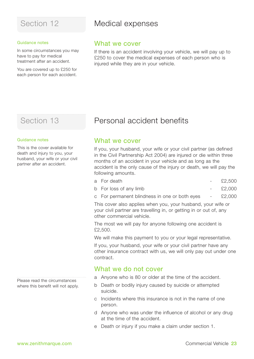#### Guidance notes

In some circumstances you may have to pay for medical treatment after an accident.

You are covered up to £250 for each person for each accident.

### Section 12 **Medical expenses**

### What we cover

If there is an accident involving your vehicle, we will pay up to £250 to cover the medical expenses of each person who is injured while they are in your vehicle.

### Section 13

#### Guidance notes

This is the cover available for death and injury to you, your husband, your wife or your civil partner after an accident.

Please read the circumstances where this benefit will not apply.

### Personal accident benefits

### What we cover

If you, your husband, your wife or your civil partner (as defined in the Civil Partnership Act 2004) are injured or die within three months of an accident in your vehicle and as long as the accident is the only cause of the injury or death, we will pay the following amounts.

| a For death |  | £2.500 |
|-------------|--|--------|
|-------------|--|--------|

- b For loss of any limb  $\sim$  £2,000
- c For permanent blindness in one or both eyes £2,000

This cover also applies when you, your husband, your wife or your civil partner are travelling in, or getting in or out of, any other commercial vehicle.

The most we will pay for anyone following one accident is £2,500.

We will make this payment to you or your legal representative.

If you, your husband, your wife or your civil partner have any other insurance contract with us, we will only pay out under one contract.

### What we do not cover

- a Anyone who is 80 or older at the time of the accident.
- b Death or bodily injury caused by suicide or attempted suicide.
- c Incidents where this insurance is not in the name of one person.
- d Anyone who was under the influence of alcohol or any drug at the time of the accident.
- e Death or injury if you make a claim under section 1.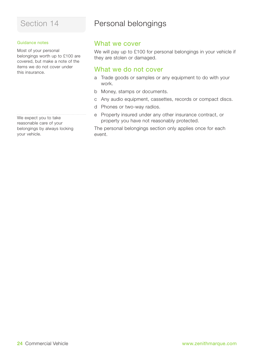#### Guidance notes

Most of your personal belongings worth up to £100 are covered, but make a note of the items we do not cover under this insurance.

We expect you to take reasonable care of your belongings by always locking your vehicle.

### Personal belongings

### What we cover

We will pay up to £100 for personal belongings in your vehicle if they are stolen or damaged.

### What we do not cover

- a Trade goods or samples or any equipment to do with your work.
- b Money, stamps or documents.
- c Any audio equipment, cassettes, records or compact discs.
- d Phones or two-way radios.
- e Property insured under any other insurance contract, or property you have not reasonably protected.

The personal belongings section only applies once for each event.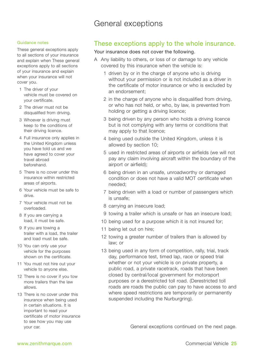### General exceptions

#### Guidance notes

These general exceptions apply to all sections of your insurance and explain when These general exceptions apply to all sections of your insurance and explain when your insurance will not cover you.

- 1 The driver of your vehicle must be covered on your certificate.
- 2 The driver must not be disqualified from driving.
- 3 Whoever is driving must keep to the conditions of their driving licence.
- 4 Full insurance only applies in the United Kingdom unless you have told us and we have agreed to cover your travel abroad beforehand.
- 5 There is no cover under this insurance within restricted areas of airports.
- 6 Your vehicle must be safe to drive.
- 7 Your vehicle must not be overloaded.
- 8 If you are carrying a load, it must be safe.
- 9 If you are towing a trailer with a load, the trailer and load must be safe.
- 10 You can only use your vehicle for the purposes shown on the certificate.
- 11 You must not hire out your vehicle to anyone else.
- 12 There is no cover if you tow more trailers than the law allows.
- 13 There is no cover under this insurance when being used in certain situations. It is important to read your certificate of motor insurance to see how you may use

### These exceptions apply to the whole insurance.

#### Your insurance does not cover the following.

- A Any liability to others, or loss of or damage to any vehicle covered by this insurance when the vehicle is:
	- 1 driven by or in the charge of anyone who is driving without your permission or is not included as a driver in the certificate of motor insurance or who is excluded by an endorsement;
	- 2 in the charge of anyone who is disqualified from driving, or who has not held, or who, by law, is prevented from holding or getting a driving licence;
	- 3 being driven by any person who holds a driving licence but is not complying with any terms or conditions that may apply to that licence;
	- 4 being used outside the United Kingdom, unless it is allowed by section 10;
	- 5 used in restricted areas of airports or airfields (we will not pay any claim involving aircraft within the boundary of the airport or airfield);
	- 6 being driven in an unsafe, unroadworthy or damaged condition or does not have a valid MOT certificate when needed;
	- 7 being driven with a load or number of passengers which is unsafe;
	- 8 carrying an insecure load;
	- 9 towing a trailer which is unsafe or has an insecure load;
	- 10 being used for a purpose which it is not insured for;
	- 11 being let out on hire;
	- 12 towing a greater number of trailers than is allowed by law; or
	- 13 being used in any form of competition, rally, trial, track day, performance test, timed lap, race or speed trial whether or not your vehicle is on private property, a public road, a private racetrack, roads that have been closed by central/local government for motorsport purposes or a derestricted toll road. (Derestricted toll roads are roads the public can pay to have access to and where speed restrictions are temporarily or permanently suspended including the Nurburgring).

your car. General exceptions continued on the next page.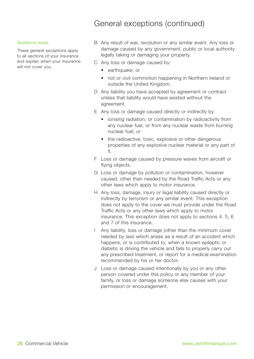### General exceptions (continued)

#### Guidance notes

These general exceptions apply to all sections of your insurance and explain when your insurance will not cover you.

- B Any result of war, revolution or any similar event. Any loss or damage caused by any government, public or local authority legally taking or damaging your property.
- C Any loss or damage caused by:
	- earthquake: or
	- riot or civil commotion happening in Northern Ireland or outside the United Kingdom.
- D Any liability you have accepted by agreement or contract unless that liability would have existed without the agreement.
- E Any loss or damage caused directly or indirectly by:
	- ionising radiation, or contamination by radioactivity from any nuclear fuel, or from any nuclear waste from burning nuclear fuel; or
	- the radioactive, toxic, explosive or other dangerous properties of any explosive nuclear material or any part of it.
- F Loss or damage caused by pressure waves from aircraft or flying objects.
- G Loss or damage by pollution or contamination, however caused, other than needed by the Road Traffic Acts or any other laws which apply to motor insurance.
- H Any loss, damage, injury or legal liability caused directly or indirectly by terrorism or any similar event. This exception does not apply to the cover we must provide under the Road Traffic Acts or any other laws which apply to motor insurance. This exception does not apply to sections 4, 5, 6 and 7 of this insurance.
- I Any liability, loss or damage (other than the minimum cover needed by law) which arises as a result of an accident which happens, or is contributed to, when a known epileptic or diabetic is driving the vehicle and fails to properly carry out any prescribed treatment, or report for a medical examination recommended by his or her doctor.
- J Loss or damage caused intentionally by you or any other person covered under this policy or any member of your family, or loss or damage someone else causes with your permission or encouragement.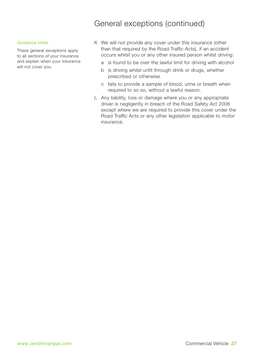### General exceptions (continued)

#### Guidance notes

These general exceptions apply to all sections of your insurance and explain when your insurance will not cover you.

- K We will not provide any cover under this insurance (other than that required by the Road Traffic Acts), if an accident occurs whilst you or any other insured person whilst driving:
	- a is found to be over the lawful limit for driving with alcohol
	- b is driving whilst unfit through drink or drugs, whether prescribed or otherwise
	- c fails to provide a sample of blood, urine or breath when required to so so, without a lawful reason.
- L Any liability, loss or damage where you or any appropriate driver is negligently in breach of the Road Safety Act 2006 except where we are required to provide this cover under the Road Traffic Acts or any other legislation applicable to motor insurance.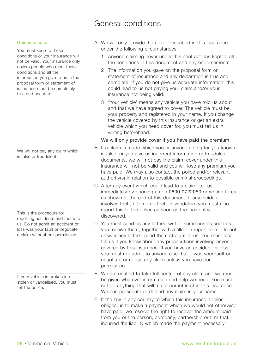### General conditions

#### Guidance notes

You must keep to these conditions or your insurance will not be valid. Your insurance only covers people who meet these conditions and all the information you give to us in the proposal form or statement of insurance must be completely true and accurate.

We will not pay any claim which is false or fraudulent.

This is the procedure for reporting accidents and thefts to us. Do not admit an accident or loss was your fault or negotiate a claim without our permission.

If your vehicle is broken into, stolen or vandalised, you must tell the police.

- A We will only provide the cover described in this insurance under the following circumstances.
	- 1 Anyone claiming cover under this contract has kept to all the conditions in this document and any endorsements.
	- 2 The information you gave on the proposal form or statement of insurance and any declaration is true and complete. If you do not give us accurate information, this could lead to us not paying your claim and/or your insurance not being valid.
	- 3 'Your vehicle' means any vehicle you have told us about and that we have agreed to cover. The vehicle must be your property and registered in your name. If you change the vehicle covered by this insurance or get an extra vehicle which you need cover for, you must tell us in writing beforehand.

#### We will only provide cover if you have paid the premium.

- B If a claim is made which you or anyone acting for you knows is false, or you give us incorrect information or fraudulent documents, we will not pay the claim, cover under this insurance will not be valid and you will lose any premium you have paid. We may also contact the police and/or relevant authority(s) in relation to possible criminal proceedings.
- C After any event which could lead to a claim, tell us immediately by phoning us on 0800 0722050 or writing to us as shown at the end of this document. If any incident involves theft, attempted theft or vandalism you must also report this to the police as soon as the incident is discovered.
- D You must send us any letters, writ or summons as soon as you receive them, together with a filled-in report form. Do not answer any letters, send them straight to us. You must also tell us if you know about any prosecutions involving anyone covered by this insurance. If you have an accident or loss, you must not admit to anyone else that it was your fault or negotiate or refuse any claim unless you have our permission.
- E We are entitled to take full control of any claim and we must be given whatever information and help we need. You must not do anything that will affect our interest in this insurance. We can prosecute or defend any claim in your name.
- F If the law in any country to which this insurance applies obliges us to make a payment which we would not otherwise have paid, we reserve the right to recover the amount paid from you or the person, company, partnership or firm that incurred the liability which made the payment necessary.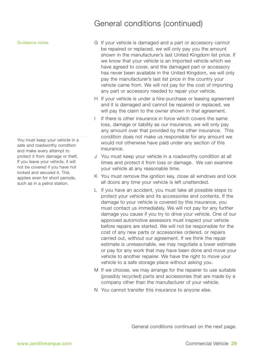Guidance notes

You must keep your vehicle in a safe and roadworthy condition and make every attempt to protect it from damage or theft. If you leave your vehicle, it will not be covered if you have not locked and secured it. This applies even for short periods, such as in a petrol station.

### General conditions (continued)

- G If your vehicle is damaged and a part or accessory cannot be repaired or replaced, we will only pay you the amount shown in the manufacturer's last United Kingdom list price. If we know that your vehicle is an imported vehicle which we have agreed to cover, and the damaged part or accessory has never been available in the United Kingdom, we will only pay the manufacturer's last list price in the country your vehicle came from. We will not pay for the cost of importing any part or accessory needed to repair your vehicle.
- H If your vehicle is under a hire-purchase or leasing agreement and it is damaged and cannot be repaired or replaced, we will pay the claim to the owner shown in that agreement.
- If there is other insurance in force which covers the same loss, damage or liability as our insurance, we will only pay any amount over that provided by the other insurance. This condition does not make us responsible for any amount we would not otherwise have paid under any section of this insurance.
- J You must keep your vehicle in a roadworthy condition at all times and protect it from loss or damage. We can examine your vehicle at any reasonable time.
- K You must remove the ignition key, close all windows and lock all doors any time your vehicle is left unattended.
- L If you have an accident, you must take all possible steps to protect your vehicle and its accessories and contents. If the damage to your vehicle is covered by this insurance, you must contact us immediately. We will not pay for any further damage you cause if you try to drive your vehicle. One of our approved automotive assessors must inspect your vehicle before repairs are started. We will not be responsible for the cost of any new parts or accessories ordered, or repairs carried out, without our agreement. If we think the repair estimate is unreasonable, we may negotiate a lower estimate or pay for any work that may have been done and move your vehicle to another repairer. We have the right to move your vehicle to a safe storage place without asking you.
- M If we choose, we may arrange for the repairer to use suitable (possibly recycled) parts and accessories that are made by a company other than the manufacturer of your vehicle.
- N You cannot transfer this insurance to anyone else.

General conditions continued on the next page.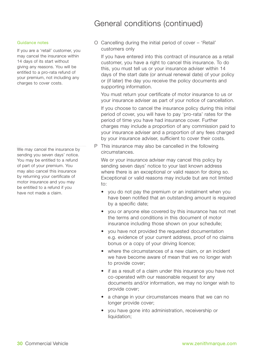### General conditions (continued)

#### Guidance notes

If you are a 'retail' customer, you may cancel the insurance within 14 days of its start without giving any reasons. You will be entitled to a pro-rata refund of your premium, not including any charges to cover costs.

We may cancel the insurance by sending you seven days' notice. You may be entitled to a refund of part of your premium. You may also cancel this insurance by returning your certificate of motor insurance and you may be entitled to a refund if you have not made a claim.

O Cancelling during the initial period of cover – 'Retail' customers only

If you have entered into this contract of insurance as a retail customer, you have a right to cancel this insurance. To do this, you must tell us or your insurance adviser within 14 days of the start date (or annual renewal date) of your policy or (if later) the day you receive the policy documents and supporting information.

You must return your certificate of motor insurance to us or your insurance adviser as part of your notice of cancellation.

If you choose to cancel the insurance policy during this initial period of cover, you will have to pay 'pro-rata' rates for the period of time you have had insurance cover. Further charges may include a proportion of any commission paid to your insurance adviser and a proportion of any fees charged by your insurance adviser, sufficient to cover their costs.

P This insurance may also be cancelled in the following circumstances.

We or your insurance adviser may cancel this policy by sending seven days' notice to your last known address where there is an exceptional or valid reason for doing so. Exceptional or valid reasons may include but are not limited to:

- you do not pay the premium or an instalment when you have been notified that an outstanding amount is required by a specific date;
- you or anyone else covered by this insurance has not met the terms and conditions in this document of motor insurance including those shown on your schedulle;
- you have not provided the requested documentation e.g. evidence of your current address, proof of no claims bonus or a copy of your driving licence;
- where the circumstances of a new claim, or an incident we have become aware of mean that we no longer wish to provide cover;
- if as a result of a claim under this insurance you have not co-operated with our reasonable request for any documents and/or information, we may no longer wish to provide cover;
- a change in your circumstances means that we can no longer provide cover;
- you have gone into administration, receivership or liquidation;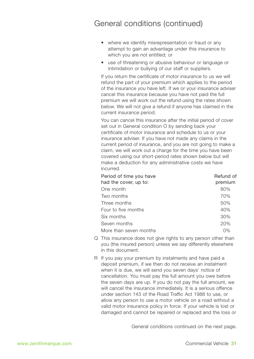### General conditions (continued)

- where we identify misrepresentation or fraud or any attempt to gain an advantage under this insurance to which you are not entitled; or
- use of threatening or abusive behaviour or language or intimidation or bullying of our staff or suppliers.

If you return the certificate of motor insurance to us we will refund the part of your premium which applies to the period of the insurance you have left. If we or your insurance adviser cancel this insurance because you have not paid the full premium we will work out the refund using the rates shown below. We will not give a refund if anyone has claimed in the current insurance period.

You can cancel this insurance after the initial period of cover set out in General condition O by sending back your certificate of motor insurance and schedule to us or your insurance adviser. If you have not made any claims in the current period of insurance, and you are not going to make a claim, we will work out a charge for the time you have been covered using our short-period rates shown below but will make a deduction for any administrative costs we have incurred.

| Refund of |
|-----------|
| premium   |
| 80%       |
| 70%       |
| 50%       |
| 40%       |
| 30%       |
| 20%       |
| 0%        |
|           |

- Q This insurance does not give rights to any person other than you (the insured person) unless we say differently elsewhere in this document.
- R If you pay your premium by instalments and have paid a deposit premium, if we then do not receive an instalment when it is due, we will send you seven days' notice of cancellation. You must pay the full amount you owe before the seven days are up. If you do not pay the full amount, we will cancel the insurance immediately. It is a serious offence under section 143 of the Road Traffic Act 1988 to use, or allow any person to use a motor vehicle on a road without a valid motor insurance policy in force. If your vehicle is lost or damaged and cannot be repaired or replaced and the loss or

General conditions continued on the next page.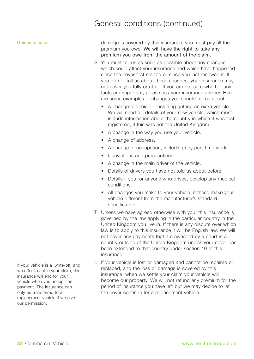### General conditions (continued)

#### Guidance notes

damage is covered by this insurance, you must pay all the premium you owe. We will have the right to take any premium you owe from the amount of the claim.

- S You must tell us as soon as possible about any changes which could affect your insurance and which have happened since the cover first started or since you last renewed it. If you do not tell us about these changes, your insurance may not cover you fully or at all. If you are not sure whether any facts are important, please ask your insurance adviser. Here are some examples of changes you should tell us about.
	- A change of vehicle including getting an extra vehicle. We will need full details of your new vehicle, which must include information about the country in which it was first registered, if this was not the United Kingdom.
	- A change in the way you use your vehicle.
	- A change of address.
	- A change of occupation, including any part-time work.
	- Convictions and prosecutions.
	- A change in the main driver of the vehicle.
	- Details of drivers you have not told us about before.
	- Details if you, or anyone who drives, develop any medical conditions.
	- All changes you make to your vehicle, if these make your vehicle different from the manufacturer's standard specification.
- T Unless we have agreed otherwise with you, this insurance is governed by the law applying in the particular country in the United Kingdom you live in. If there is any dispute over which law is to apply to this insurance it will be English law. We will not cover any payments that are awarded by a court in a country outside of the United Kingdom unless your cover has been extended to that country under section 10 of this insurance.
- U If your vehicle is lost or damaged and cannot be repaired or replaced, and the loss or damage is covered by this insurance, when we settle your claim your vehicle will become our property. We will not refund any premium for the period of insurance you have left but we may decide to let the cover continue for a replacement vehicle.

If your vehicle is a 'write-off' and we offer to settle your claim, this insurance will end for your vehicle when you accept the payment. The insurance can only be transferred to a replacement vehicle if we give our permission.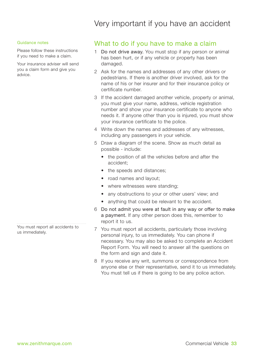### Very important if you have an accident

#### Guidance notes

Please follow these instructions if you need to make a claim.

Your insurance adviser will send you a claim form and give you advice.

You must report all accidents to us immediately.

### What to do if you have to make a claim

- 1 Do not drive away. You must stop if any person or animal has been hurt, or if any vehicle or property has been damaged.
- 2 Ask for the names and addresses of any other drivers or pedestrians. If there is another driver involved, ask for the name of his or her insurer and for their insurance policy or certificate number.
- 3 If the accident damaged another vehicle, property or animal, you must give your name, address, vehicle registration number and show your insurance certificate to anyone who needs it. If anyone other than you is injured, you must show your insurance certificate to the police.
- 4 Write down the names and addresses of any witnesses, including any passengers in your vehicle.
- 5 Draw a diagram of the scene. Show as much detail as possible - include:
	- the position of all the vehicles before and after the accident;
	- the speeds and distances:
	- road names and layout;
	- where witnesses were standing:
	- any obstructions to your or other users' view: and
	- anything that could be relevant to the accident.
- 6 Do not admit you were at fault in any way or offer to make a payment. If any other person does this, remember to report it to us.
- 7 You must report all accidents, particularly those involving personal injury, to us immediately. You can phone if necessary. You may also be asked to complete an Accident Report Form. You will need to answer all the questions on the form and sign and date it.
- 8 If you receive any writ, summons or correspondence from anyone else or their representative, send it to us immediately. You must tell us if there is going to be any police action.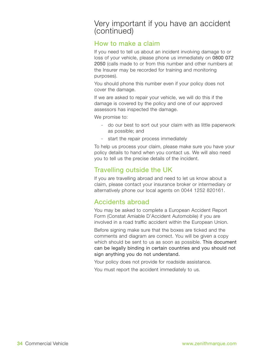### Very important if you have an accident (continued)

### How to make a claim

If you need to tell us about an incident involving damage to or loss of your vehicle, please phone us immediately on 0800 072 2050 (calls made to or from this number and other numbers at the Insurer may be recorded for training and monitoring purposes).

You should phone this number even if your policy does not cover the damage.

If we are asked to repair your vehicle, we will do this if the damage is covered by the policy and one of our approved assessors has inspected the damage.

We promise to:

- do our best to sort out your claim with as little paperwork as possible; and
- start the repair process immediately

To help us process your claim, please make sure you have your policy details to hand when you contact us. We will also need you to tell us the precise details of the incident.

### Travelling outside the UK

If you are travelling abroad and need to let us know about a claim, please contact your insurance broker or intermediary or alternatively phone our local agents on 0044 1252 820161.

### Accidents abroad

You may be asked to complete a European Accident Report Form (Constat Amiable D'Accident Automobile) if you are involved in a road traffic accident within the European Union.

Before signing make sure that the boxes are ticked and the comments and diagram are correct. You will be given a copy which should be sent to us as soon as possible. This document can be legally binding in certain countries and you should not sign anything you do not understand.

Your policy does not provide for roadside assistance.

You must report the accident immediately to us.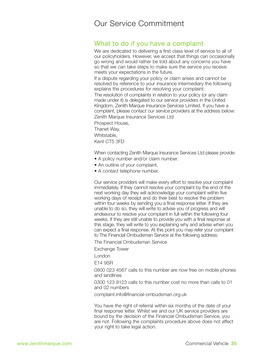### Our Service Commitment

### What to do if you have a complaint

We are dedicated to delivering a first class level of service to all of our policyholders. However, we accept that things can occasionally go wrong and would rather be told about any concerns you have so that we can take steps to make sure the service you receive meets your expectations in the future.

If a dispute regarding your policy or claim arises and cannot be resolved by reference to your insurance intermediary the following explains the procedures for resolving your complaint:

The resolution of complaints in relation to your policy (or any claim made under it) is delegated to our service providers in the United Kingdom, Zenith Marque Insurance Services Limited. If you have a complaint, please contact our service providers at the address below: Zenith Marque Insurance Services Ltd

Prospect House, Thanet Way,

Whitstable,

Kent CT5 3FD

When contacting Zenith Marque Insurance Services Ltd please provide:

- A policy number and/or claim number.
- An outline of your complaint.
- A contact telephone number.

Our service providers will make every effort to resolve your complaint immediately. If they cannot resolve your complaint by the end of the next working day they will acknowledge your complaint within five working days of receipt and do their best to resolve the problem within four weeks by sending you a final response letter. If they are unable to do so, they will write to advise you of progress and will endeavour to resolve your complaint in full within the following four weeks. If they are still unable to provide you with a final response at this stage, they will write to you explaining why and advise when you can expect a final response. At this point you may refer your complaint to The Financial Ombudsman Service at the following address:

The Financial Ombudsman Service

Exchange Tower

London

E14 9SR

0800 023 4567 calls to this number are now free on mobile phones and landlines

0300 123 9123 calls to this number cost no more than calls to 01 and 02 numbers

complaint.info@financial-ombudsman.org.uk

You have the right of referral within six months of the date of your final response letter. Whilst we and our UK service providers are bound by the decision of the Financial Ombudsman Service, you are not. Following the complaints procedure above does not affect your right to take legal action.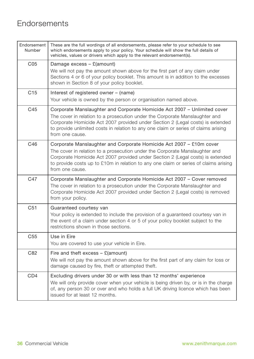### **Endorsements**

| Endorsement<br>Number | These are the full wordings of all endorsements, please refer to your schedule to see<br>which endorsements apply to your policy. Your schedule will show the full details of<br>vehicles, values or drivers which apply to the relevant endorsement(s).                                                                                            |
|-----------------------|-----------------------------------------------------------------------------------------------------------------------------------------------------------------------------------------------------------------------------------------------------------------------------------------------------------------------------------------------------|
| C <sub>05</sub>       | Damage excess $-$ £(amount)<br>We will not pay the amount shown above for the first part of any claim under<br>Sections 4 or 6 of your policy booklet. This amount is in addition to the excesses<br>shown in Section 8 of your policy booklet.                                                                                                     |
| C15                   | Interest of registered owner - (name)<br>Your vehicle is owned by the person or organisation named above.                                                                                                                                                                                                                                           |
| C45                   | Corporate Manslaughter and Corporate Homicide Act 2007 - Unlimited cover<br>The cover in relation to a prosecution under the Corporate Manslaughter and<br>Corporate Homicide Act 2007 provided under Section 2 (Legal costs) is extended<br>to provide unlimited costs in relation to any one claim or series of claims arising<br>from one cause. |
| C46                   | Corporate Manslaughter and Corporate Homicide Act 2007 - £10m cover<br>The cover in relation to a prosecution under the Corporate Manslaughter and<br>Corporate Homicide Act 2007 provided under Section 2 (Legal costs) is extended<br>to provide costs up to £10m in relation to any one claim or series of claims arising<br>from one cause.     |
| C47                   | Corporate Manslaughter and Corporate Homicide Act 2007 - Cover removed<br>The cover in relation to a prosecution under the Corporate Manslaughter and<br>Corporate Homicide Act 2007 provided under Section 2 (Legal costs) is removed<br>from your policy.                                                                                         |
| C51                   | Guaranteed courtesy van<br>Your policy is extended to include the provision of a guaranteed courtesy van in<br>the event of a claim under section 4 or 5 of your policy booklet subject to the<br>restrictions shown in those sections.                                                                                                             |
| C55                   | Use in Eire<br>You are covered to use your vehicle in Eire.                                                                                                                                                                                                                                                                                         |
| C82                   | Fire and theft excess $-$ £(amount)<br>We will not pay the amount shown above for the first part of any claim for loss or<br>damage caused by fire, theft or attempted theft.                                                                                                                                                                       |
| CD <sub>4</sub>       | Excluding drivers under 30 or with less than 12 months' experience<br>We will only provide cover when your vehicle is being driven by, or is in the charge<br>of, any person 30 or over and who holds a full UK driving licence which has been<br>issued for at least 12 months.                                                                    |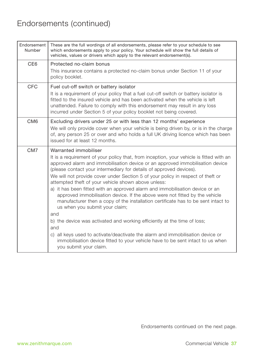### Endorsements (continued)

| Endorsement<br>Number | These are the full wordings of all endorsements, please refer to your schedule to see<br>which endorsements apply to your policy. Your schedule will show the full details of<br>vehicles, values or drivers which apply to the relevant endorsement(s).                                                                                                                                                                                                                                                                                                                                                                                                                                                                                                                                                                                                                                                                                                                                         |
|-----------------------|--------------------------------------------------------------------------------------------------------------------------------------------------------------------------------------------------------------------------------------------------------------------------------------------------------------------------------------------------------------------------------------------------------------------------------------------------------------------------------------------------------------------------------------------------------------------------------------------------------------------------------------------------------------------------------------------------------------------------------------------------------------------------------------------------------------------------------------------------------------------------------------------------------------------------------------------------------------------------------------------------|
| CE <sub>6</sub>       | Protected no-claim bonus<br>This insurance contains a protected no-claim bonus under Section 11 of your<br>policy booklet.                                                                                                                                                                                                                                                                                                                                                                                                                                                                                                                                                                                                                                                                                                                                                                                                                                                                       |
| CFC                   | Fuel cut-off switch or battery isolator<br>It is a requirement of your policy that a fuel cut-off switch or battery isolator is<br>fitted to the insured vehicle and has been activated when the vehicle is left<br>unattended. Failure to comply with this endorsement may result in any loss<br>incurred under Section 5 of your policy booklet not being covered.                                                                                                                                                                                                                                                                                                                                                                                                                                                                                                                                                                                                                             |
| CM <sub>6</sub>       | Excluding drivers under 25 or with less than 12 months' experience<br>We will only provide cover when your vehicle is being driven by, or is in the charge<br>of, any person 25 or over and who holds a full UK driving licence which has been<br>issued for at least 12 months.                                                                                                                                                                                                                                                                                                                                                                                                                                                                                                                                                                                                                                                                                                                 |
| CM <sub>7</sub>       | Warranted immobiliser<br>It is a requirement of your policy that, from inception, your vehicle is fitted with an<br>approved alarm and immobilisation device or an approved immobilisation device<br>(please contact your intermediary for details of approved devices).<br>We will not provide cover under Section 5 of your policy in respect of theft or<br>attempted theft of your vehicle shown above unless:<br>a) it has been fitted with an approved alarm and immobilisation device or an<br>approved immobilisation device. If the above were not fitted by the vehicle<br>manufacturer then a copy of the installation certificate has to be sent intact to<br>us when you submit your claim;<br>and<br>b) the device was activated and working efficiently at the time of loss;<br>and<br>c) all keys used to activate/deactivate the alarm and immobilisation device or<br>immobilisation device fitted to your vehicle have to be sent intact to us when<br>you submit your claim. |

Endorsements continued on the next page.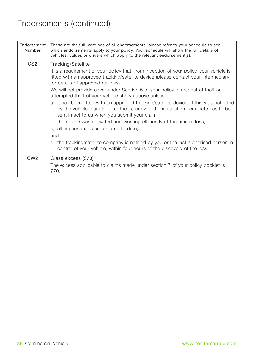### Endorsements (continued)

| Endorsement<br>Number | These are the full wordings of all endorsements, please refer to your schedule to see<br>which endorsements apply to your policy. Your schedule will show the full details of<br>vehicles, values or drivers which apply to the relevant endorsement(s). |
|-----------------------|----------------------------------------------------------------------------------------------------------------------------------------------------------------------------------------------------------------------------------------------------------|
| CS <sub>2</sub>       | Tracking/Satellite                                                                                                                                                                                                                                       |
|                       | It is a requirement of your policy that, from inception of your policy, your vehicle is<br>fitted with an approved tracking/satellite device (please contact your intermediary<br>for details of approved devices).                                      |
|                       | We will not provide cover under Section 5 of your policy in respect of theft or<br>attempted theft of your vehicle shown above unless:                                                                                                                   |
|                       | a) it has been fitted with an approved tracking/satellite device. If this was not fitted<br>by the vehicle manufacturer then a copy of the installation certificate has to be<br>sent intact to us when you submit your claim;                           |
|                       | b) the device was activated and working efficiently at the time of loss;                                                                                                                                                                                 |
|                       | c) all subscriptions are paid up to date;                                                                                                                                                                                                                |
|                       | and                                                                                                                                                                                                                                                      |
|                       | d) the tracking/satellite company is notified by you or the last authorised person in<br>control of your vehicle, within four hours of the discovery of the loss.                                                                                        |
| CW <sub>2</sub>       | Glass excess (£70)<br>The excess applicable to claims made under section 7 of your policy booklet is<br>£70.                                                                                                                                             |